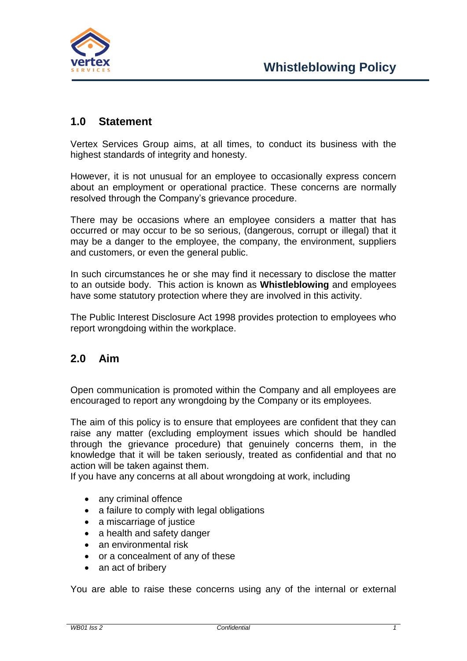

## **1.0 Statement**

Vertex Services Group aims, at all times, to conduct its business with the highest standards of integrity and honesty.

However, it is not unusual for an employee to occasionally express concern about an employment or operational practice. These concerns are normally resolved through the Company's grievance procedure.

There may be occasions where an employee considers a matter that has occurred or may occur to be so serious, (dangerous, corrupt or illegal) that it may be a danger to the employee, the company, the environment, suppliers and customers, or even the general public.

In such circumstances he or she may find it necessary to disclose the matter to an outside body. This action is known as **Whistleblowing** and employees have some statutory protection where they are involved in this activity.

The Public Interest Disclosure Act 1998 provides protection to employees who report wrongdoing within the workplace.

## **2.0 Aim**

Open communication is promoted within the Company and all employees are encouraged to report any wrongdoing by the Company or its employees.

The aim of this policy is to ensure that employees are confident that they can raise any matter (excluding employment issues which should be handled through the grievance procedure) that genuinely concerns them, in the knowledge that it will be taken seriously, treated as confidential and that no action will be taken against them.

If you have any concerns at all about wrongdoing at work, including

- any criminal offence
- a failure to comply with legal obligations
- a miscarriage of justice
- a health and safety danger
- an environmental risk
- or a concealment of any of these
- an act of bribery

You are able to raise these concerns using any of the internal or external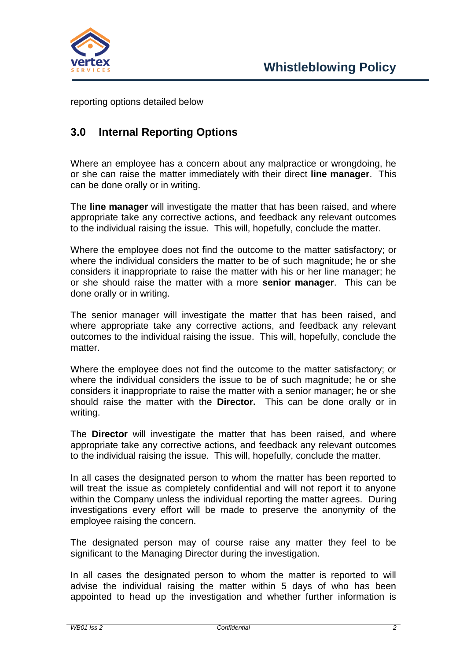

reporting options detailed below

## **3.0 Internal Reporting Options**

Where an employee has a concern about any malpractice or wrongdoing, he or she can raise the matter immediately with their direct **line manager**. This can be done orally or in writing.

The **line manager** will investigate the matter that has been raised, and where appropriate take any corrective actions, and feedback any relevant outcomes to the individual raising the issue. This will, hopefully, conclude the matter.

Where the employee does not find the outcome to the matter satisfactory; or where the individual considers the matter to be of such magnitude; he or she considers it inappropriate to raise the matter with his or her line manager; he or she should raise the matter with a more **senior manager**. This can be done orally or in writing.

The senior manager will investigate the matter that has been raised, and where appropriate take any corrective actions, and feedback any relevant outcomes to the individual raising the issue. This will, hopefully, conclude the matter.

Where the employee does not find the outcome to the matter satisfactory; or where the individual considers the issue to be of such magnitude; he or she considers it inappropriate to raise the matter with a senior manager; he or she should raise the matter with the **Director.** This can be done orally or in writing.

The **Director** will investigate the matter that has been raised, and where appropriate take any corrective actions, and feedback any relevant outcomes to the individual raising the issue. This will, hopefully, conclude the matter.

In all cases the designated person to whom the matter has been reported to will treat the issue as completely confidential and will not report it to anyone within the Company unless the individual reporting the matter agrees. During investigations every effort will be made to preserve the anonymity of the employee raising the concern.

The designated person may of course raise any matter they feel to be significant to the Managing Director during the investigation.

In all cases the designated person to whom the matter is reported to will advise the individual raising the matter within 5 days of who has been appointed to head up the investigation and whether further information is